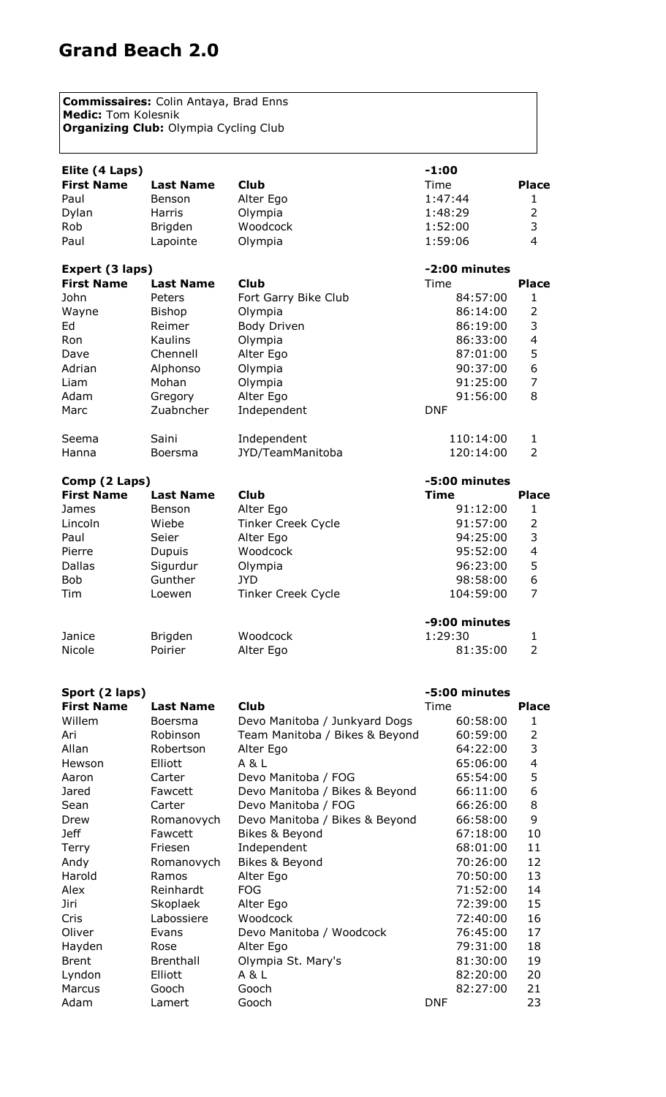## **Grand Beach 2.0**

**Commissaires:** Colin Antaya, Brad Enns **Medic:** Tom Kolesnik **Organizing Club: Olympia Cycling Club** 

| Elite (4 Laps)    |                  |                           | $-1:00$       |                         |
|-------------------|------------------|---------------------------|---------------|-------------------------|
| <b>First Name</b> | <b>Last Name</b> | <b>Club</b>               | Time          | <b>Place</b>            |
| Paul              | Benson           | Alter Ego                 | 1:47:44       | 1                       |
| Dylan             | <b>Harris</b>    | Olympia                   | 1:48:29       | $\overline{2}$          |
| Rob               | Brigden          | Woodcock                  | 1:52:00       | 3                       |
| Paul              | Lapointe         | Olympia                   | 1:59:06       | 4                       |
| Expert (3 laps)   |                  |                           | -2:00 minutes |                         |
| <b>First Name</b> | <b>Last Name</b> | <b>Club</b>               | Time          | <b>Place</b>            |
| John              | Peters           | Fort Garry Bike Club      | 84:57:00      | 1                       |
| Wayne             | <b>Bishop</b>    | Olympia                   | 86:14:00      | $\overline{2}$          |
| Ed                | Reimer           | <b>Body Driven</b>        | 86:19:00      | 3                       |
| Ron               | Kaulins          | Olympia                   | 86:33:00      | $\overline{\mathbf{4}}$ |
| Dave              | Chennell         | Alter Ego                 | 87:01:00      | 5                       |
| Adrian            | Alphonso         | Olympia                   | 90:37:00      | 6                       |
| Liam              | Mohan            | Olympia                   | 91:25:00      | $\overline{7}$          |
| Adam              | Gregory          | Alter Ego                 | 91:56:00      | 8                       |
| Marc              | Zuabncher        | Independent               | <b>DNF</b>    |                         |
| Seema             | Saini            | Independent               | 110:14:00     | $\mathbf{1}$            |
| Hanna             | Boersma          | JYD/TeamManitoba          | 120:14:00     | $\overline{2}$          |
| Comp (2 Laps)     | -5:00 minutes    |                           |               |                         |
| <b>First Name</b> | <b>Last Name</b> | <b>Club</b>               | <b>Time</b>   | <b>Place</b>            |
| James             | Benson           | Alter Ego                 | 91:12:00      | 1                       |
| Lincoln           | Wiebe            | <b>Tinker Creek Cycle</b> | 91:57:00      | $\overline{2}$          |
| Paul              | Seier            | Alter Ego                 | 94:25:00      | 3                       |
| Pierre            | Dupuis           | Woodcock                  | 95:52:00      | $\overline{4}$          |
| <b>Dallas</b>     | Sigurdur         | Olympia                   | 96:23:00      | 5                       |
| <b>Bob</b>        | Gunther          | <b>JYD</b>                | 98:58:00      | 6                       |
| Tim               | Loewen           | <b>Tinker Creek Cycle</b> | 104:59:00     | $\overline{7}$          |
|                   |                  |                           | -9:00 minutes |                         |
| Janice            | Brigden          | Woodcock                  | 1:29:30       | 1                       |
| Nicole            | Poirier          | Alter Ego                 | 81:35:00      | $\overline{2}$          |
|                   |                  |                           |               |                         |

| Sport (2 laps)    |                  |                                | -5:00 minutes |                          |
|-------------------|------------------|--------------------------------|---------------|--------------------------|
| <b>First Name</b> | <b>Last Name</b> | <b>Club</b>                    | Time          | <b>Place</b>             |
| Willem            | Boersma          | Devo Manitoba / Junkyard Dogs  | 60:58:00      | 1                        |
| Ari               | Robinson         | Team Manitoba / Bikes & Beyond | 60:59:00      | $\overline{2}$           |
| Allan             | Robertson        | Alter Ego                      | 64:22:00      | 3                        |
| Hewson            | Elliott          | A & L                          | 65:06:00      | $\overline{\mathcal{L}}$ |
| Aaron             | Carter           | Devo Manitoba / FOG            | 65:54:00      | 5                        |
| Jared             | Fawcett          | Devo Manitoba / Bikes & Beyond | 66:11:00      | 6                        |
| Sean              | Carter           | Devo Manitoba / FOG            | 66:26:00      | 8                        |
| Drew              | Romanovych       | Devo Manitoba / Bikes & Beyond | 66:58:00      | 9                        |
| <b>Jeff</b>       | Fawcett          | Bikes & Beyond                 | 67:18:00      | 10                       |
| Terry             | Friesen          | Independent                    | 68:01:00      | 11                       |
| Andy              | Romanovych       | Bikes & Beyond                 | 70:26:00      | 12                       |
| Harold            | Ramos            | Alter Ego                      | 70:50:00      | 13                       |
| Alex              | Reinhardt        | <b>FOG</b>                     | 71:52:00      | 14                       |
| Jiri              | Skoplaek         | Alter Ego                      | 72:39:00      | 15                       |
| Cris              | Labossiere       | Woodcock                       | 72:40:00      | 16                       |
| Oliver            | Evans            | Devo Manitoba / Woodcock       | 76:45:00      | 17                       |
| Hayden            | Rose             | Alter Ego                      | 79:31:00      | 18                       |
| <b>Brent</b>      | Brenthall        | Olympia St. Mary's             | 81:30:00      | 19                       |
| Lyndon            | Elliott          | A&L                            | 82:20:00      | 20                       |
| Marcus            | Gooch            | Gooch                          | 82:27:00      | 21                       |
| Adam              | Lamert           | Gooch                          | <b>DNF</b>    | 23                       |